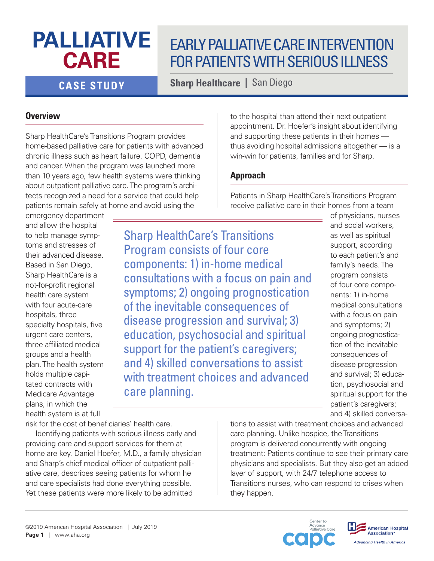# **PALLIATIVE CARE**

## EARLY PALLIATIVE CARE INTERVENTION FOR PATIENTS WITH SERIOUS ILLNESS

**CASE STUDY Sharp Healthcare |** San Diego

### **Overview**

Sharp HealthCare's Transitions Program provides home-based palliative care for patients with advanced chronic illness such as heart failure, COPD, dementia and cancer. When the program was launched more than 10 years ago, few health systems were thinking about outpatient palliative care. The program's architects recognized a need for a service that could help patients remain safely at home and avoid using the

emergency department and allow the hospital to help manage symptoms and stresses of their advanced disease. Based in San Diego, Sharp HealthCare is a not-for-profit regional health care system with four acute-care hospitals, three specialty hospitals, five urgent care centers, three affiliated medical groups and a health plan. The health system holds multiple capitated contracts with Medicare Advantage plans, in which the health system is at full

risk for the cost of beneficiaries' health care.

Identifying patients with serious illness early and providing care and support services for them at home are key. Daniel Hoefer, M.D., a family physician and Sharp's chief medical officer of outpatient palliative care, describes seeing patients for whom he and care specialists had done everything possible. Yet these patients were more likely to be admitted

to the hospital than attend their next outpatient appointment. Dr. Hoefer's insight about identifying and supporting these patients in their homes thus avoiding hospital admissions altogether — is a win-win for patients, families and for Sharp.

### **Approach**

Patients in Sharp HealthCare's Transitions Program receive palliative care in their homes from a team

Sharp HealthCare's Transitions Program consists of four core components: 1) in-home medical consultations with a focus on pain and symptoms; 2) ongoing prognostication of the inevitable consequences of disease progression and survival; 3) education, psychosocial and spiritual support for the patient's caregivers; and 4) skilled conversations to assist with treatment choices and advanced care planning.

of physicians, nurses and social workers, as well as spiritual support, according to each patient's and family's needs. The program consists of four core components: 1) in-home medical consultations with a focus on pain and symptoms; 2) ongoing prognostication of the inevitable consequences of disease progression and survival; 3) education, psychosocial and spiritual support for the patient's caregivers; and 4) skilled conversa-

tions to assist with treatment choices and advanced care planning. Unlike hospice, the Transitions program is delivered concurrently with ongoing treatment: Patients continue to see their primary care physicians and specialists. But they also get an added layer of support, with 24/7 telephone access to Transitions nurses, who can respond to crises when they happen.



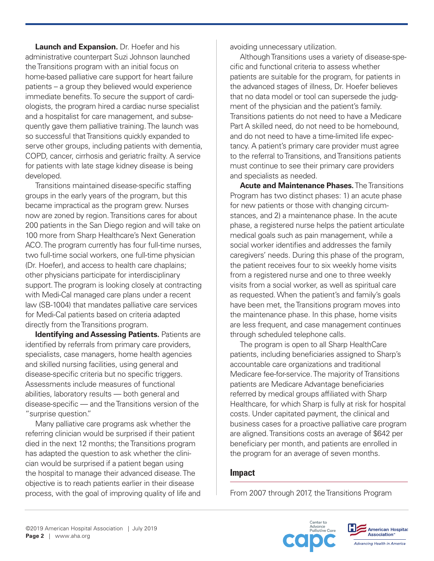**Launch and Expansion.** Dr. Hoefer and his administrative counterpart Suzi Johnson launched the Transitions program with an initial focus on home-based palliative care support for heart failure patients – a group they believed would experience immediate benefits. To secure the support of cardiologists, the program hired a cardiac nurse specialist and a hospitalist for care management, and subsequently gave them palliative training. The launch was so successful that Transitions quickly expanded to serve other groups, including patients with dementia, COPD, cancer, cirrhosis and geriatric frailty. A service for patients with late stage kidney disease is being developed.

Transitions maintained disease-specific staffing groups in the early years of the program, but this became impractical as the program grew. Nurses now are zoned by region. Transitions cares for about 200 patients in the San Diego region and will take on 100 more from Sharp Healthcare's Next Generation ACO. The program currently has four full-time nurses, two full-time social workers, one full-time physician (Dr. Hoefer), and access to health care chaplains; other physicians participate for interdisciplinary support. The program is looking closely at contracting with Medi-Cal managed care plans under a recent law (SB-1004) that mandates palliative care services for Medi-Cal patients based on criteria adapted directly from the Transitions program.

**Identifying and Assessing Patients.** Patients are identified by referrals from primary care providers, specialists, case managers, home health agencies and skilled nursing facilities, using general and disease-specific criteria but no specific triggers. Assessments include measures of functional abilities, laboratory results — both general and disease-specific — and the Transitions version of the "surprise question."

Many palliative care programs ask whether the referring clinician would be surprised if their patient died in the next 12 months; the Transitions program has adapted the question to ask whether the clinician would be surprised if a patient began using the hospital to manage their advanced disease. The objective is to reach patients earlier in their disease process, with the goal of improving quality of life and avoiding unnecessary utilization.

Although Transitions uses a variety of disease-specific and functional criteria to assess whether patients are suitable for the program, for patients in the advanced stages of illness, Dr. Hoefer believes that no data model or tool can supersede the judgment of the physician and the patient's family. Transitions patients do not need to have a Medicare Part A skilled need, do not need to be homebound, and do not need to have a time-limited life expectancy. A patient's primary care provider must agree to the referral to Transitions, and Transitions patients must continue to see their primary care providers and specialists as needed.

**Acute and Maintenance Phases.** The Transitions Program has two distinct phases: 1) an acute phase for new patients or those with changing circumstances, and 2) a maintenance phase. In the acute phase, a registered nurse helps the patient articulate medical goals such as pain management, while a social worker identifies and addresses the family caregivers' needs. During this phase of the program, the patient receives four to six weekly home visits from a registered nurse and one to three weekly visits from a social worker, as well as spiritual care as requested. When the patient's and family's goals have been met, the Transitions program moves into the maintenance phase. In this phase, home visits are less frequent, and case management continues through scheduled telephone calls.

The program is open to all Sharp HealthCare patients, including beneficiaries assigned to Sharp's accountable care organizations and traditional Medicare fee-for-service. The majority of Transitions patients are Medicare Advantage beneficiaries referred by medical groups affiliated with Sharp Healthcare, for which Sharp is fully at risk for hospital costs. Under capitated payment, the clinical and business cases for a proactive palliative care program are aligned. Transitions costs an average of \$642 per beneficiary per month, and patients are enrolled in the program for an average of seven months.

#### **Impact**

From 2007 through 2017, the Transitions Program